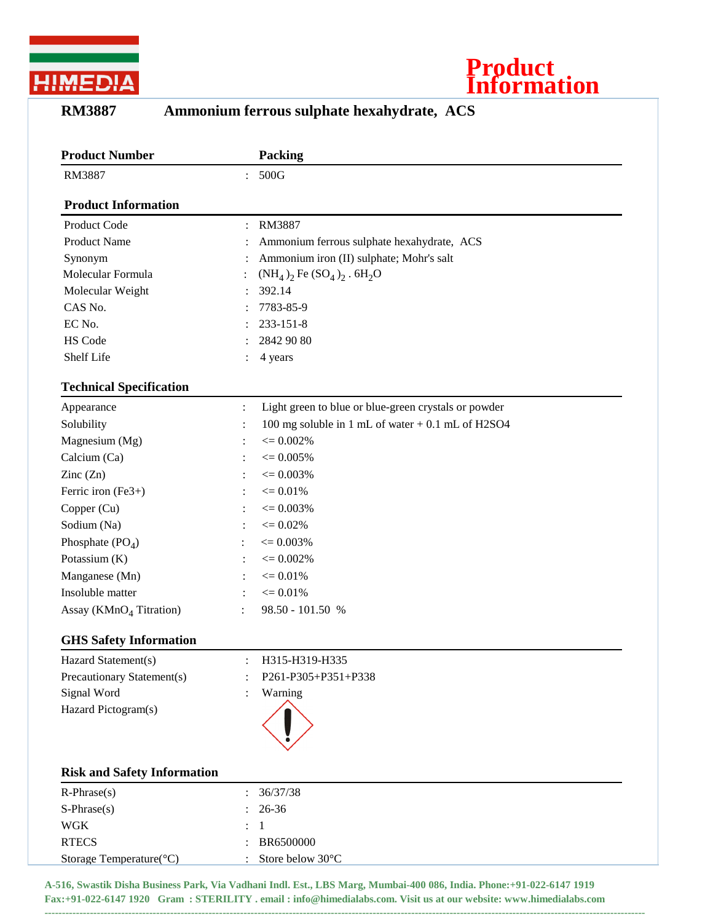



## **RM3887 Ammonium ferrous sulphate hexahydrate, ACS**

| <b>Product Number</b>              |                      | <b>Packing</b>                                       |
|------------------------------------|----------------------|------------------------------------------------------|
| RM3887                             |                      | : 500G                                               |
| <b>Product Information</b>         |                      |                                                      |
| Product Code                       | $\ddot{\phantom{a}}$ | RM3887                                               |
| <b>Product Name</b>                |                      | Ammonium ferrous sulphate hexahydrate, ACS           |
| Synonym                            |                      | Ammonium iron (II) sulphate; Mohr's salt             |
| Molecular Formula                  |                      | $(NH_4)_2$ Fe $(SO_4)_2$ . 6H <sub>2</sub> O         |
| Molecular Weight                   |                      | 392.14                                               |
| CAS No.                            |                      | 7783-85-9                                            |
| EC No.                             |                      | 233-151-8                                            |
| HS Code                            |                      | 2842 90 80                                           |
| Shelf Life                         |                      | 4 years                                              |
| <b>Technical Specification</b>     |                      |                                                      |
| Appearance                         | $\ddot{\cdot}$       | Light green to blue or blue-green crystals or powder |
| Solubility                         | $\ddot{\cdot}$       | 100 mg soluble in 1 mL of water $+$ 0.1 mL of H2SO4  |
| Magnesium (Mg)                     |                      | $\epsilon = 0.002\%$                                 |
| Calcium (Ca)                       |                      | $\epsilon = 0.005\%$                                 |
| Zinc $(Zn)$                        | $\ddot{\cdot}$       | $\epsilon = 0.003\%$                                 |
| Ferric iron (Fe3+)                 | $\ddot{\cdot}$       | $\leq 0.01\%$                                        |
| Copper (Cu)                        | :                    | $\epsilon = 0.003\%$                                 |
| Sodium (Na)                        |                      | $\epsilon = 0.02\%$                                  |
| Phosphate $(PO4)$                  |                      | $\epsilon = 0.003\%$                                 |
| Potassium (K)                      | $\ddot{\cdot}$       | $\epsilon = 0.002\%$                                 |
| Manganese (Mn)                     | $\ddot{\cdot}$       | $\epsilon = 0.01\%$                                  |
| Insoluble matter                   | :                    | $\epsilon = 0.01\%$                                  |
| Assay ( $KMnO4 Titration$ )        |                      | 98.50 - 101.50 %                                     |
| <b>GHS Safety Information</b>      |                      |                                                      |
| Hazard Statement(s)                |                      | H315-H319-H335                                       |
| Precautionary Statement(s)         |                      | P261-P305+P351+P338                                  |
| Signal Word                        |                      | Warning                                              |
| Hazard Pictogram(s)                |                      |                                                      |
|                                    |                      |                                                      |
| <b>Risk and Safety Information</b> |                      |                                                      |
| $R$ -Phrase $(s)$                  |                      | 36/37/38                                             |
| $S-Phrase(s)$                      |                      | 26-36                                                |
| <b>WGK</b>                         |                      | 1                                                    |
| <b>RTECS</b>                       |                      | BR6500000                                            |
| Storage Temperature(°C)            |                      | Store below 30°C                                     |
|                                    |                      |                                                      |

**A-516, Swastik Disha Business Park, Via Vadhani Indl. Est., LBS Marg, Mumbai-400 086, India. Phone:+91-022-6147 1919 Fax:+91-022-6147 1920 Gram : STERILITY . email : info@himedialabs.com. Visit us at our website: www.himedialabs.com**

**----------------------------------------------------------------------------------------------------------------------------------------------------------------------------**